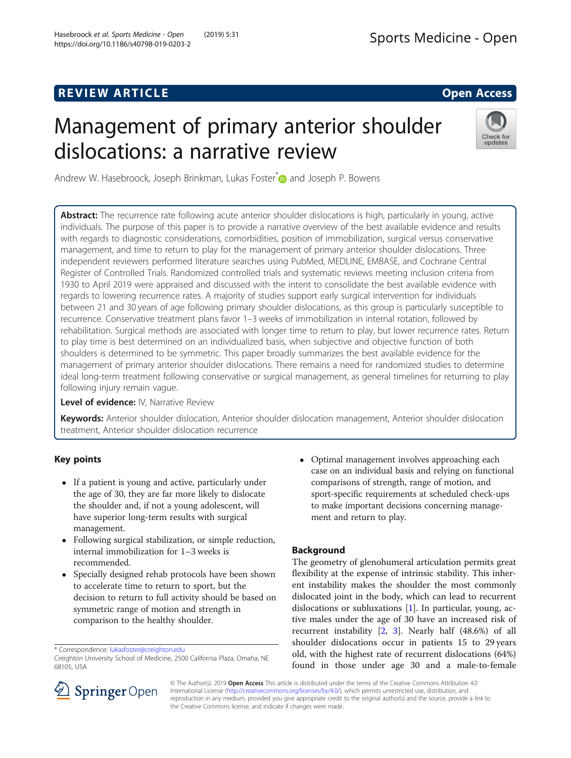# **REVIEW ARTICLE External intervention of the Contract Contract Contract Contract Contract Contract Contract Contract Contract Contract Contract Contract Contract Contract Contract Contract Contract Contract Contract Cont**

# Management of primary anterior shoulder dislocations: a narrative review



Andrew W. Hasebroock, Joseph Brinkman, Lukas Foster<sup>[\\*](http://orcid.org/0000-0001-7462-9379)</sup> and Joseph P. Bowens

Abstract: The recurrence rate following acute anterior shoulder dislocations is high, particularly in young, active individuals. The purpose of this paper is to provide a narrative overview of the best available evidence and results with regards to diagnostic considerations, comorbidities, position of immobilization, surgical versus conservative management, and time to return to play for the management of primary anterior shoulder dislocations. Three independent reviewers performed literature searches using PubMed, MEDLINE, EMBASE, and Cochrane Central Register of Controlled Trials. Randomized controlled trials and systematic reviews meeting inclusion criteria from 1930 to April 2019 were appraised and discussed with the intent to consolidate the best available evidence with regards to lowering recurrence rates. A majority of studies support early surgical intervention for individuals between 21 and 30 years of age following primary shoulder dislocations, as this group is particularly susceptible to recurrence. Conservative treatment plans favor 1–3 weeks of immobilization in internal rotation, followed by rehabilitation. Surgical methods are associated with longer time to return to play, but lower recurrence rates. Return to play time is best determined on an individualized basis, when subjective and objective function of both shoulders is determined to be symmetric. This paper broadly summarizes the best available evidence for the management of primary anterior shoulder dislocations. There remains a need for randomized studies to determine ideal long-term treatment following conservative or surgical management, as general timelines for returning to play following injury remain vague.

Level of evidence: IV, Narrative Review

Keywords: Anterior shoulder dislocation, Anterior shoulder dislocation management, Anterior shoulder dislocation treatment, Anterior shoulder dislocation recurrence

# Key points

- If a patient is young and active, particularly under the age of 30, they are far more likely to dislocate the shoulder and, if not a young adolescent, will have superior long-term results with surgical management.
- Following surgical stabilization, or simple reduction, internal immobilization for 1–3 weeks is recommended.
- Specially designed rehab protocols have been shown to accelerate time to return to sport, but the decision to return to full activity should be based on symmetric range of motion and strength in comparison to the healthy shoulder.

 Optimal management involves approaching each case on an individual basis and relying on functional comparisons of strength, range of motion, and sport-specific requirements at scheduled check-ups to make important decisions concerning management and return to play.

# Background

The geometry of glenohumeral articulation permits great flexibility at the expense of intrinsic stability. This inherent instability makes the shoulder the most commonly dislocated joint in the body, which can lead to recurrent dislocations or subluxations [\[1\]](#page-6-0). In particular, young, active males under the age of 30 have an increased risk of recurrent instability [\[2](#page-6-0), [3\]](#page-6-0). Nearly half (48.6%) of all shoulder dislocations occur in patients 15 to 29 years old, with the highest rate of recurrent dislocations (64%) found in those under age 30 and a male-to-female



© The Author(s). 2019 Open Access This article is distributed under the terms of the Creative Commons Attribution 4.0 International License ([http://creativecommons.org/licenses/by/4.0/\)](http://creativecommons.org/licenses/by/4.0/), which permits unrestricted use, distribution, and reproduction in any medium, provided you give appropriate credit to the original author(s) and the source, provide a link to the Creative Commons license, and indicate if changes were made.

<sup>\*</sup> Correspondence: [lukasfoster@creighton.edu](mailto:lukasfoster@creighton.edu)

Creighton University School of Medicine, 2500 California Plaza, Omaha, NE 68105, USA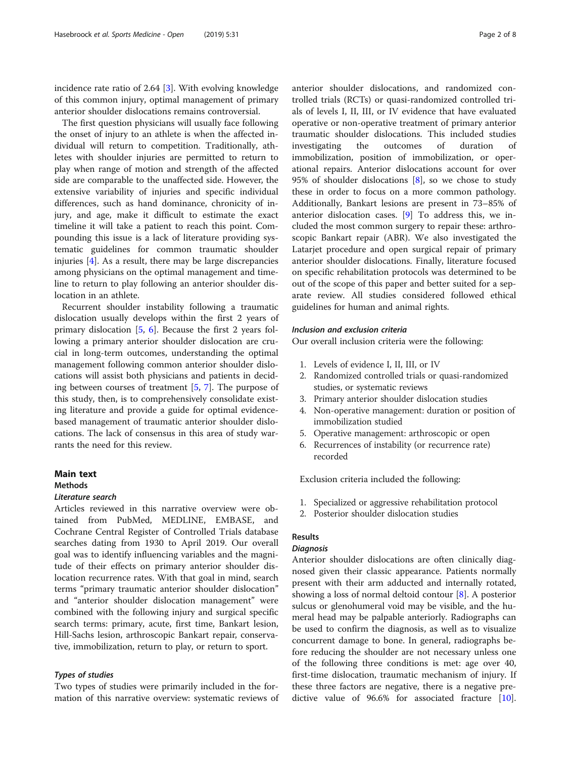incidence rate ratio of 2.64 [[3\]](#page-6-0). With evolving knowledge of this common injury, optimal management of primary anterior shoulder dislocations remains controversial.

The first question physicians will usually face following the onset of injury to an athlete is when the affected individual will return to competition. Traditionally, athletes with shoulder injuries are permitted to return to play when range of motion and strength of the affected side are comparable to the unaffected side. However, the extensive variability of injuries and specific individual differences, such as hand dominance, chronicity of injury, and age, make it difficult to estimate the exact timeline it will take a patient to reach this point. Compounding this issue is a lack of literature providing systematic guidelines for common traumatic shoulder injuries [\[4](#page-6-0)]. As a result, there may be large discrepancies among physicians on the optimal management and timeline to return to play following an anterior shoulder dislocation in an athlete.

Recurrent shoulder instability following a traumatic dislocation usually develops within the first 2 years of primary dislocation [\[5](#page-6-0), [6](#page-6-0)]. Because the first 2 years following a primary anterior shoulder dislocation are crucial in long-term outcomes, understanding the optimal management following common anterior shoulder dislocations will assist both physicians and patients in deciding between courses of treatment [\[5](#page-6-0), [7\]](#page-6-0). The purpose of this study, then, is to comprehensively consolidate existing literature and provide a guide for optimal evidencebased management of traumatic anterior shoulder dislocations. The lack of consensus in this area of study warrants the need for this review.

# Main text

# Methods

# Literature search

Articles reviewed in this narrative overview were obtained from PubMed, MEDLINE, EMBASE, and Cochrane Central Register of Controlled Trials database searches dating from 1930 to April 2019. Our overall goal was to identify influencing variables and the magnitude of their effects on primary anterior shoulder dislocation recurrence rates. With that goal in mind, search terms "primary traumatic anterior shoulder dislocation" and "anterior shoulder dislocation management" were combined with the following injury and surgical specific search terms: primary, acute, first time, Bankart lesion, Hill-Sachs lesion, arthroscopic Bankart repair, conservative, immobilization, return to play, or return to sport.

# Types of studies

Two types of studies were primarily included in the formation of this narrative overview: systematic reviews of anterior shoulder dislocations, and randomized controlled trials (RCTs) or quasi-randomized controlled trials of levels I, II, III, or IV evidence that have evaluated operative or non-operative treatment of primary anterior traumatic shoulder dislocations. This included studies investigating the outcomes of duration of immobilization, position of immobilization, or operational repairs. Anterior dislocations account for over 95% of shoulder dislocations  $[8]$  $[8]$ , so we chose to study these in order to focus on a more common pathology. Additionally, Bankart lesions are present in 73–85% of anterior dislocation cases. [[9\]](#page-6-0) To address this, we included the most common surgery to repair these: arthroscopic Bankart repair (ABR). We also investigated the Latarjet procedure and open surgical repair of primary anterior shoulder dislocations. Finally, literature focused on specific rehabilitation protocols was determined to be out of the scope of this paper and better suited for a separate review. All studies considered followed ethical guidelines for human and animal rights.

# Inclusion and exclusion criteria

Our overall inclusion criteria were the following:

- 1. Levels of evidence I, II, III, or IV
- 2. Randomized controlled trials or quasi-randomized studies, or systematic reviews
- 3. Primary anterior shoulder dislocation studies
- 4. Non-operative management: duration or position of immobilization studied
- 5. Operative management: arthroscopic or open
- 6. Recurrences of instability (or recurrence rate) recorded

Exclusion criteria included the following:

- 1. Specialized or aggressive rehabilitation protocol
- 2. Posterior shoulder dislocation studies

# Results

# **Diagnosis**

Anterior shoulder dislocations are often clinically diagnosed given their classic appearance. Patients normally present with their arm adducted and internally rotated, showing a loss of normal deltoid contour [[8\]](#page-6-0). A posterior sulcus or glenohumeral void may be visible, and the humeral head may be palpable anteriorly. Radiographs can be used to confirm the diagnosis, as well as to visualize concurrent damage to bone. In general, radiographs before reducing the shoulder are not necessary unless one of the following three conditions is met: age over 40, first-time dislocation, traumatic mechanism of injury. If these three factors are negative, there is a negative predictive value of 96.6% for associated fracture [\[10](#page-6-0)].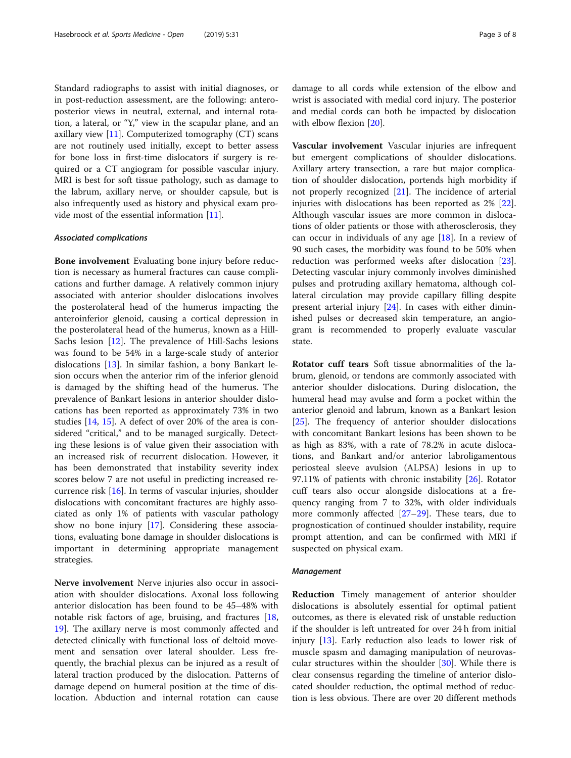Standard radiographs to assist with initial diagnoses, or in post-reduction assessment, are the following: anteroposterior views in neutral, external, and internal rotation, a lateral, or "Y," view in the scapular plane, and an axillary view [[11\]](#page-6-0). Computerized tomography (CT) scans are not routinely used initially, except to better assess for bone loss in first-time dislocators if surgery is required or a CT angiogram for possible vascular injury. MRI is best for soft tissue pathology, such as damage to the labrum, axillary nerve, or shoulder capsule, but is also infrequently used as history and physical exam provide most of the essential information [\[11](#page-6-0)].

# Associated complications

Bone involvement Evaluating bone injury before reduction is necessary as humeral fractures can cause complications and further damage. A relatively common injury associated with anterior shoulder dislocations involves the posterolateral head of the humerus impacting the anteroinferior glenoid, causing a cortical depression in the posterolateral head of the humerus, known as a Hill-Sachs lesion [[12\]](#page-6-0). The prevalence of Hill-Sachs lesions was found to be 54% in a large-scale study of anterior dislocations [[13\]](#page-6-0). In similar fashion, a bony Bankart lesion occurs when the anterior rim of the inferior glenoid is damaged by the shifting head of the humerus. The prevalence of Bankart lesions in anterior shoulder dislocations has been reported as approximately 73% in two studies [\[14](#page-6-0), [15](#page-6-0)]. A defect of over 20% of the area is considered "critical," and to be managed surgically. Detecting these lesions is of value given their association with an increased risk of recurrent dislocation. However, it has been demonstrated that instability severity index scores below 7 are not useful in predicting increased recurrence risk [\[16](#page-6-0)]. In terms of vascular injuries, shoulder dislocations with concomitant fractures are highly associated as only 1% of patients with vascular pathology show no bone injury [[17\]](#page-6-0). Considering these associations, evaluating bone damage in shoulder dislocations is important in determining appropriate management strategies.

Nerve involvement Nerve injuries also occur in association with shoulder dislocations. Axonal loss following anterior dislocation has been found to be 45–48% with notable risk factors of age, bruising, and fractures [[18](#page-6-0), [19\]](#page-6-0). The axillary nerve is most commonly affected and detected clinically with functional loss of deltoid movement and sensation over lateral shoulder. Less frequently, the brachial plexus can be injured as a result of lateral traction produced by the dislocation. Patterns of damage depend on humeral position at the time of dislocation. Abduction and internal rotation can cause

damage to all cords while extension of the elbow and wrist is associated with medial cord injury. The posterior and medial cords can both be impacted by dislocation with elbow flexion [\[20](#page-6-0)].

Vascular involvement Vascular injuries are infrequent but emergent complications of shoulder dislocations. Axillary artery transection, a rare but major complication of shoulder dislocation, portends high morbidity if not properly recognized [[21](#page-6-0)]. The incidence of arterial injuries with dislocations has been reported as 2% [\[22](#page-6-0)]. Although vascular issues are more common in dislocations of older patients or those with atherosclerosis, they can occur in individuals of any age [\[18](#page-6-0)]. In a review of 90 such cases, the morbidity was found to be 50% when reduction was performed weeks after dislocation [\[23](#page-6-0)]. Detecting vascular injury commonly involves diminished pulses and protruding axillary hematoma, although collateral circulation may provide capillary filling despite present arterial injury [\[24](#page-6-0)]. In cases with either diminished pulses or decreased skin temperature, an angiogram is recommended to properly evaluate vascular state.

Rotator cuff tears Soft tissue abnormalities of the labrum, glenoid, or tendons are commonly associated with anterior shoulder dislocations. During dislocation, the humeral head may avulse and form a pocket within the anterior glenoid and labrum, known as a Bankart lesion [[25\]](#page-6-0). The frequency of anterior shoulder dislocations with concomitant Bankart lesions has been shown to be as high as 83%, with a rate of 78.2% in acute dislocations, and Bankart and/or anterior labroligamentous periosteal sleeve avulsion (ALPSA) lesions in up to 97.11% of patients with chronic instability [[26\]](#page-6-0). Rotator cuff tears also occur alongside dislocations at a frequency ranging from 7 to 32%, with older individuals more commonly affected [\[27](#page-6-0)–[29\]](#page-6-0). These tears, due to prognostication of continued shoulder instability, require prompt attention, and can be confirmed with MRI if suspected on physical exam.

# Management

Reduction Timely management of anterior shoulder dislocations is absolutely essential for optimal patient outcomes, as there is elevated risk of unstable reduction if the shoulder is left untreated for over 24 h from initial injury [\[13](#page-6-0)]. Early reduction also leads to lower risk of muscle spasm and damaging manipulation of neurovascular structures within the shoulder [[30\]](#page-6-0). While there is clear consensus regarding the timeline of anterior dislocated shoulder reduction, the optimal method of reduction is less obvious. There are over 20 different methods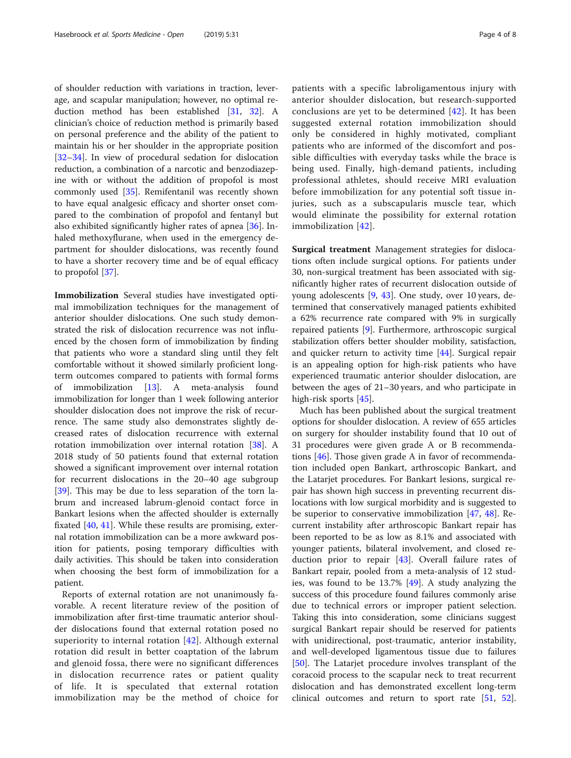of shoulder reduction with variations in traction, leverage, and scapular manipulation; however, no optimal reduction method has been established [\[31](#page-6-0), [32](#page-6-0)]. A clinician's choice of reduction method is primarily based on personal preference and the ability of the patient to maintain his or her shoulder in the appropriate position [[32](#page-6-0)–[34](#page-6-0)]. In view of procedural sedation for dislocation reduction, a combination of a narcotic and benzodiazepine with or without the addition of propofol is most commonly used [\[35\]](#page-6-0). Remifentanil was recently shown to have equal analgesic efficacy and shorter onset compared to the combination of propofol and fentanyl but also exhibited significantly higher rates of apnea [\[36\]](#page-6-0). Inhaled methoxyflurane, when used in the emergency department for shoulder dislocations, was recently found to have a shorter recovery time and be of equal efficacy to propofol [[37\]](#page-6-0).

Immobilization Several studies have investigated optimal immobilization techniques for the management of anterior shoulder dislocations. One such study demonstrated the risk of dislocation recurrence was not influenced by the chosen form of immobilization by finding that patients who wore a standard sling until they felt comfortable without it showed similarly proficient longterm outcomes compared to patients with formal forms of immobilization [[13](#page-6-0)]. A meta-analysis found immobilization for longer than 1 week following anterior shoulder dislocation does not improve the risk of recurrence. The same study also demonstrates slightly decreased rates of dislocation recurrence with external rotation immobilization over internal rotation [\[38\]](#page-7-0). A 2018 study of 50 patients found that external rotation showed a significant improvement over internal rotation for recurrent dislocations in the 20–40 age subgroup [[39\]](#page-7-0). This may be due to less separation of the torn labrum and increased labrum-glenoid contact force in Bankart lesions when the affected shoulder is externally fixated [\[40](#page-7-0), [41\]](#page-7-0). While these results are promising, external rotation immobilization can be a more awkward position for patients, posing temporary difficulties with daily activities. This should be taken into consideration when choosing the best form of immobilization for a patient.

Reports of external rotation are not unanimously favorable. A recent literature review of the position of immobilization after first-time traumatic anterior shoulder dislocations found that external rotation posed no superiority to internal rotation [\[42\]](#page-7-0). Although external rotation did result in better coaptation of the labrum and glenoid fossa, there were no significant differences in dislocation recurrence rates or patient quality of life. It is speculated that external rotation immobilization may be the method of choice for patients with a specific labroligamentous injury with anterior shoulder dislocation, but research-supported conclusions are yet to be determined [\[42\]](#page-7-0). It has been suggested external rotation immobilization should only be considered in highly motivated, compliant patients who are informed of the discomfort and possible difficulties with everyday tasks while the brace is being used. Finally, high-demand patients, including professional athletes, should receive MRI evaluation before immobilization for any potential soft tissue injuries, such as a subscapularis muscle tear, which would eliminate the possibility for external rotation immobilization [\[42](#page-7-0)].

Surgical treatment Management strategies for dislocations often include surgical options. For patients under 30, non-surgical treatment has been associated with significantly higher rates of recurrent dislocation outside of young adolescents [[9,](#page-6-0) [43\]](#page-7-0). One study, over 10 years, determined that conservatively managed patients exhibited a 62% recurrence rate compared with 9% in surgically repaired patients [[9\]](#page-6-0). Furthermore, arthroscopic surgical stabilization offers better shoulder mobility, satisfaction, and quicker return to activity time [[44\]](#page-7-0). Surgical repair is an appealing option for high-risk patients who have experienced traumatic anterior shoulder dislocation, are between the ages of 21–30 years, and who participate in high-risk sports [\[45\]](#page-7-0).

Much has been published about the surgical treatment options for shoulder dislocation. A review of 655 articles on surgery for shoulder instability found that 10 out of 31 procedures were given grade A or B recommendations [[46\]](#page-7-0). Those given grade A in favor of recommendation included open Bankart, arthroscopic Bankart, and the Latarjet procedures. For Bankart lesions, surgical repair has shown high success in preventing recurrent dislocations with low surgical morbidity and is suggested to be superior to conservative immobilization [\[47,](#page-7-0) [48\]](#page-7-0). Recurrent instability after arthroscopic Bankart repair has been reported to be as low as 8.1% and associated with younger patients, bilateral involvement, and closed reduction prior to repair [[43\]](#page-7-0). Overall failure rates of Bankart repair, pooled from a meta-analysis of 12 studies, was found to be 13.7% [[49\]](#page-7-0). A study analyzing the success of this procedure found failures commonly arise due to technical errors or improper patient selection. Taking this into consideration, some clinicians suggest surgical Bankart repair should be reserved for patients with unidirectional, post-traumatic, anterior instability, and well-developed ligamentous tissue due to failures [[50\]](#page-7-0). The Latarjet procedure involves transplant of the coracoid process to the scapular neck to treat recurrent dislocation and has demonstrated excellent long-term clinical outcomes and return to sport rate  $[51, 52]$  $[51, 52]$  $[51, 52]$  $[51, 52]$ .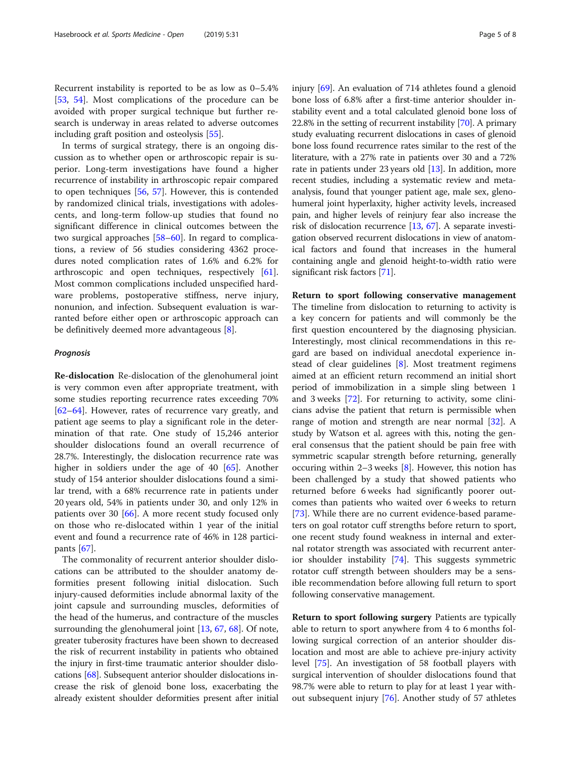Recurrent instability is reported to be as low as 0–5.4% [[53,](#page-7-0) [54\]](#page-7-0). Most complications of the procedure can be avoided with proper surgical technique but further research is underway in areas related to adverse outcomes including graft position and osteolysis [\[55\]](#page-7-0).

In terms of surgical strategy, there is an ongoing discussion as to whether open or arthroscopic repair is superior. Long-term investigations have found a higher recurrence of instability in arthroscopic repair compared to open techniques [\[56](#page-7-0), [57\]](#page-7-0). However, this is contended by randomized clinical trials, investigations with adolescents, and long-term follow-up studies that found no significant difference in clinical outcomes between the two surgical approaches [[58](#page-7-0)–[60](#page-7-0)]. In regard to complications, a review of 56 studies considering 4362 procedures noted complication rates of 1.6% and 6.2% for arthroscopic and open techniques, respectively [\[61](#page-7-0)]. Most common complications included unspecified hardware problems, postoperative stiffness, nerve injury, nonunion, and infection. Subsequent evaluation is warranted before either open or arthroscopic approach can be definitively deemed more advantageous [[8\]](#page-6-0).

# Prognosis

Re-dislocation Re-dislocation of the glenohumeral joint is very common even after appropriate treatment, with some studies reporting recurrence rates exceeding 70% [[62](#page-7-0)–[64](#page-7-0)]. However, rates of recurrence vary greatly, and patient age seems to play a significant role in the determination of that rate. One study of 15,246 anterior shoulder dislocations found an overall recurrence of 28.7%. Interestingly, the dislocation recurrence rate was higher in soldiers under the age of 40 [[65\]](#page-7-0). Another study of 154 anterior shoulder dislocations found a similar trend, with a 68% recurrence rate in patients under 20 years old, 54% in patients under 30, and only 12% in patients over 30 [\[66\]](#page-7-0). A more recent study focused only on those who re-dislocated within 1 year of the initial event and found a recurrence rate of 46% in 128 participants [[67\]](#page-7-0).

The commonality of recurrent anterior shoulder dislocations can be attributed to the shoulder anatomy deformities present following initial dislocation. Such injury-caused deformities include abnormal laxity of the joint capsule and surrounding muscles, deformities of the head of the humerus, and contracture of the muscles surrounding the glenohumeral joint [\[13](#page-6-0), [67,](#page-7-0) [68\]](#page-7-0). Of note, greater tuberosity fractures have been shown to decreased the risk of recurrent instability in patients who obtained the injury in first-time traumatic anterior shoulder dislocations [[68](#page-7-0)]. Subsequent anterior shoulder dislocations increase the risk of glenoid bone loss, exacerbating the already existent shoulder deformities present after initial injury [\[69](#page-7-0)]. An evaluation of 714 athletes found a glenoid bone loss of 6.8% after a first-time anterior shoulder instability event and a total calculated glenoid bone loss of 22.8% in the setting of recurrent instability [\[70\]](#page-7-0). A primary study evaluating recurrent dislocations in cases of glenoid bone loss found recurrence rates similar to the rest of the literature, with a 27% rate in patients over 30 and a 72% rate in patients under 23 years old  $[13]$  $[13]$  $[13]$ . In addition, more recent studies, including a systematic review and metaanalysis, found that younger patient age, male sex, glenohumeral joint hyperlaxity, higher activity levels, increased pain, and higher levels of reinjury fear also increase the risk of dislocation recurrence [[13](#page-6-0), [67](#page-7-0)]. A separate investigation observed recurrent dislocations in view of anatomical factors and found that increases in the humeral containing angle and glenoid height-to-width ratio were significant risk factors [\[71\]](#page-7-0).

# Return to sport following conservative management

The timeline from dislocation to returning to activity is a key concern for patients and will commonly be the first question encountered by the diagnosing physician. Interestingly, most clinical recommendations in this regard are based on individual anecdotal experience instead of clear guidelines [[8\]](#page-6-0). Most treatment regimens aimed at an efficient return recommend an initial short period of immobilization in a simple sling between 1 and 3 weeks [[72\]](#page-7-0). For returning to activity, some clinicians advise the patient that return is permissible when range of motion and strength are near normal [\[32\]](#page-6-0). A study by Watson et al. agrees with this, noting the general consensus that the patient should be pain free with symmetric scapular strength before returning, generally occuring within  $2-3$  weeks  $[8]$  $[8]$ . However, this notion has been challenged by a study that showed patients who returned before 6 weeks had significantly poorer outcomes than patients who waited over 6 weeks to return [[73\]](#page-7-0). While there are no current evidence-based parameters on goal rotator cuff strengths before return to sport, one recent study found weakness in internal and external rotator strength was associated with recurrent anterior shoulder instability [[74](#page-7-0)]. This suggests symmetric rotator cuff strength between shoulders may be a sensible recommendation before allowing full return to sport following conservative management.

Return to sport following surgery Patients are typically able to return to sport anywhere from 4 to 6 months following surgical correction of an anterior shoulder dislocation and most are able to achieve pre-injury activity level [\[75\]](#page-7-0). An investigation of 58 football players with surgical intervention of shoulder dislocations found that 98.7% were able to return to play for at least 1 year without subsequent injury [[76](#page-7-0)]. Another study of 57 athletes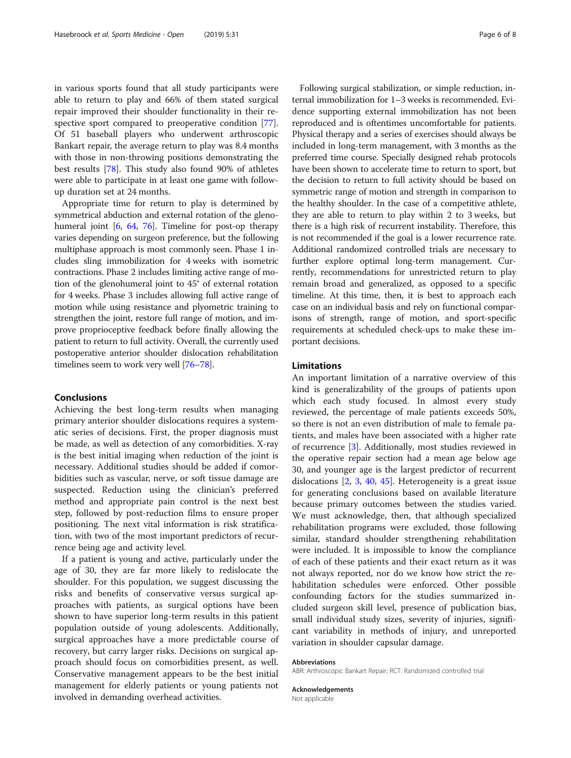in various sports found that all study participants were able to return to play and 66% of them stated surgical repair improved their shoulder functionality in their re-spective sport compared to preoperative condition [\[77](#page-7-0)]. Of 51 baseball players who underwent arthroscopic Bankart repair, the average return to play was 8.4 months with those in non-throwing positions demonstrating the best results [\[78](#page-7-0)]. This study also found 90% of athletes were able to participate in at least one game with followup duration set at 24 months.

Appropriate time for return to play is determined by symmetrical abduction and external rotation of the gleno-humeral joint [[6,](#page-6-0) [64](#page-7-0), [76\]](#page-7-0). Timeline for post-op therapy varies depending on surgeon preference, but the following multiphase approach is most commonly seen. Phase 1 includes sling immobilization for 4 weeks with isometric contractions. Phase 2 includes limiting active range of motion of the glenohumeral joint to 45° of external rotation for 4 weeks. Phase 3 includes allowing full active range of motion while using resistance and plyometric training to strengthen the joint, restore full range of motion, and improve proprioceptive feedback before finally allowing the patient to return to full activity. Overall, the currently used postoperative anterior shoulder dislocation rehabilitation timelines seem to work very well [\[76](#page-7-0)–[78](#page-7-0)].

# **Conclusions**

Achieving the best long-term results when managing primary anterior shoulder dislocations requires a systematic series of decisions. First, the proper diagnosis must be made, as well as detection of any comorbidities. X-ray is the best initial imaging when reduction of the joint is necessary. Additional studies should be added if comorbidities such as vascular, nerve, or soft tissue damage are suspected. Reduction using the clinician's preferred method and appropriate pain control is the next best step, followed by post-reduction films to ensure proper positioning. The next vital information is risk stratification, with two of the most important predictors of recurrence being age and activity level.

If a patient is young and active, particularly under the age of 30, they are far more likely to redislocate the shoulder. For this population, we suggest discussing the risks and benefits of conservative versus surgical approaches with patients, as surgical options have been shown to have superior long-term results in this patient population outside of young adolescents. Additionally, surgical approaches have a more predictable course of recovery, but carry larger risks. Decisions on surgical approach should focus on comorbidities present, as well. Conservative management appears to be the best initial management for elderly patients or young patients not involved in demanding overhead activities.

Following surgical stabilization, or simple reduction, internal immobilization for 1–3 weeks is recommended. Evidence supporting external immobilization has not been reproduced and is oftentimes uncomfortable for patients. Physical therapy and a series of exercises should always be included in long-term management, with 3 months as the preferred time course. Specially designed rehab protocols have been shown to accelerate time to return to sport, but the decision to return to full activity should be based on symmetric range of motion and strength in comparison to the healthy shoulder. In the case of a competitive athlete, they are able to return to play within 2 to 3 weeks, but there is a high risk of recurrent instability. Therefore, this is not recommended if the goal is a lower recurrence rate. Additional randomized controlled trials are necessary to further explore optimal long-term management. Currently, recommendations for unrestricted return to play remain broad and generalized, as opposed to a specific timeline. At this time, then, it is best to approach each case on an individual basis and rely on functional comparisons of strength, range of motion, and sport-specific requirements at scheduled check-ups to make these important decisions.

# Limitations

An important limitation of a narrative overview of this kind is generalizability of the groups of patients upon which each study focused. In almost every study reviewed, the percentage of male patients exceeds 50%, so there is not an even distribution of male to female patients, and males have been associated with a higher rate of recurrence [[3](#page-6-0)]. Additionally, most studies reviewed in the operative repair section had a mean age below age 30, and younger age is the largest predictor of recurrent dislocations [[2,](#page-6-0) [3](#page-6-0), [40,](#page-7-0) [45\]](#page-7-0). Heterogeneity is a great issue for generating conclusions based on available literature because primary outcomes between the studies varied. We must acknowledge, then, that although specialized rehabilitation programs were excluded, those following similar, standard shoulder strengthening rehabilitation were included. It is impossible to know the compliance of each of these patients and their exact return as it was not always reported, nor do we know how strict the rehabilitation schedules were enforced. Other possible confounding factors for the studies summarized included surgeon skill level, presence of publication bias, small individual study sizes, severity of injuries, significant variability in methods of injury, and unreported variation in shoulder capsular damage.

# Abbreviations

ABR: Arthroscopic Bankart Repair; RCT: Randomized controlled trial

Acknowledgements

Not applicable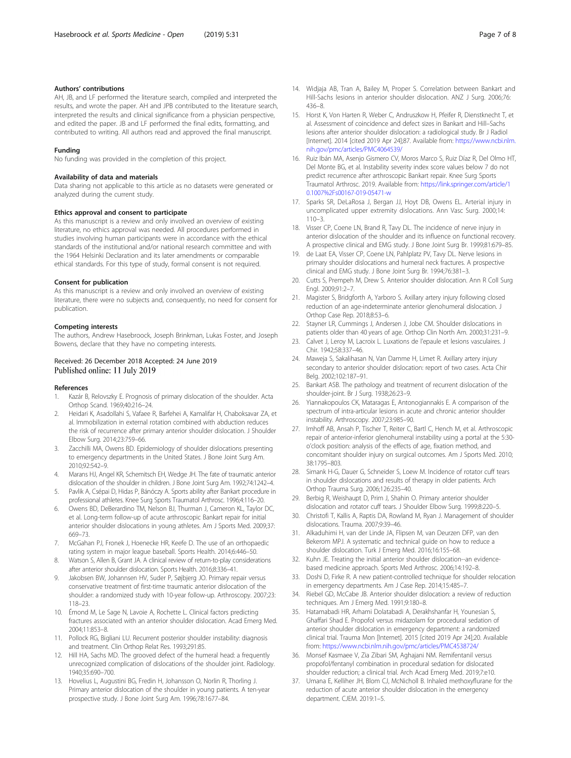# <span id="page-6-0"></span>Authors' contributions

AH, JB, and LF performed the literature search, compiled and interpreted the results, and wrote the paper. AH and JPB contributed to the literature search, interpreted the results and clinical significance from a physician perspective, and edited the paper. JB and LF performed the final edits, formatting, and contributed to writing. All authors read and approved the final manuscript.

### Funding

No funding was provided in the completion of this project.

# Availability of data and materials

Data sharing not applicable to this article as no datasets were generated or analyzed during the current study.

# Ethics approval and consent to participate

As this manuscript is a review and only involved an overview of existing literature, no ethics approval was needed. All procedures performed in studies involving human participants were in accordance with the ethical standards of the institutional and/or national research committee and with the 1964 Helsinki Declaration and its later amendments or comparable ethical standards. For this type of study, formal consent is not required.

#### Consent for publication

As this manuscript is a review and only involved an overview of existing literature, there were no subjects and, consequently, no need for consent for publication.

### Competing interests

The authors, Andrew Hasebroock, Joseph Brinkman, Lukas Foster, and Joseph Bowens, declare that they have no competing interests.

# Received: 26 December 2018 Accepted: 24 June 2019 Published online: 11 July 2019

#### References

- 1. Kazár B, Relovszky E. Prognosis of primary dislocation of the shoulder. Acta Orthop Scand. 1969;40:216–24.
- 2. Heidari K, Asadollahi S, Vafaee R, Barfehei A, Kamalifar H, Chaboksavar ZA, et al. Immobilization in external rotation combined with abduction reduces the risk of recurrence after primary anterior shoulder dislocation. J Shoulder Elbow Surg. 2014;23:759–66.
- 3. Zacchilli MA, Owens BD. Epidemiology of shoulder dislocations presenting to emergency departments in the United States. J Bone Joint Surg Am. 2010;92:542–9.
- 4. Marans HJ, Angel KR, Schemitsch EH, Wedge JH. The fate of traumatic anterior dislocation of the shoulder in children. J Bone Joint Surg Am. 1992;74:1242–4.
- 5. Pavlik A, Csépai D, Hidas P, Bánóczy A. Sports ability after Bankart procedure in professional athletes. Knee Surg Sports Traumatol Arthrosc. 1996;4:116–20.
- .<br>Gwens BD, DeBerardino TM, Nelson BJ, Thurman J, Cameron KL, Taylor DC, et al. Long-term follow-up of acute arthroscopic Bankart repair for initial anterior shoulder dislocations in young athletes. Am J Sports Med. 2009;37: 669–73.
- 7. McGahan PJ, Fronek J, Hoenecke HR, Keefe D. The use of an orthopaedic rating system in major league baseball. Sports Health. 2014;6:446–50.
- 8. Watson S, Allen B, Grant JA. A clinical review of return-to-play considerations after anterior shoulder dislocation. Sports Health. 2016;8:336–41.
- 9. Jakobsen BW, Johannsen HV, Suder P, Søjbjerg JO. Primary repair versus conservative treatment of first-time traumatic anterior dislocation of the shoulder: a randomized study with 10-year follow-up. Arthroscopy. 2007;23: 118–23.
- 10. Émond M, Le Sage N, Lavoie A, Rochette L. Clinical factors predicting fractures associated with an anterior shoulder dislocation. Acad Emerg Med. 2004;11:853–8.
- 11. Pollock RG, Bigliani LU. Recurrent posterior shoulder instability: diagnosis and treatment. Clin Orthop Relat Res. 1993;291:85.
- 12. Hill HA, Sachs MD. The grooved defect of the humeral head: a frequently unrecognized complication of dislocations of the shoulder joint. Radiology. 1940;35:690–700.
- 13. Hovelius L, Augustini BG, Fredin H, Johansson O, Norlin R, Thorling J. Primary anterior dislocation of the shoulder in young patients. A ten-year prospective study. J Bone Joint Surg Am. 1996;78:1677–84.
- 14. Widjaja AB, Tran A, Bailey M, Proper S. Correlation between Bankart and Hill-Sachs lesions in anterior shoulder dislocation. ANZ J Surg. 2006;76: 436–8.
- 15. Horst K, Von Harten R, Weber C, Andruszkow H, Pfeifer R, Dienstknecht T, et al. Assessment of coincidence and defect sizes in Bankart and Hill–Sachs lesions after anterior shoulder dislocation: a radiological study. Br J Radiol [Internet]. 2014 [cited 2019 Apr 24];87. Available from: [https://www.ncbi.nlm.](https://www.ncbi.nlm.nih.gov/pmc/articles/PMC4064539/) [nih.gov/pmc/articles/PMC4064539/](https://www.ncbi.nlm.nih.gov/pmc/articles/PMC4064539/)
- 16. Ruiz Ibán MA, Asenjo Gismero CV, Moros Marco S, Ruiz Díaz R, Del Olmo HT, Del Monte BG, et al. Instability severity index score values below 7 do not predict recurrence after arthroscopic Bankart repair. Knee Surg Sports Traumatol Arthrosc. 2019. Available from: [https://link.springer.com/article/1](https://link.springer.com/article/10.1007%2Fs00167-019-05471-w) [0.1007%2Fs00167-019-05471-w](https://link.springer.com/article/10.1007%2Fs00167-019-05471-w)
- 17. Sparks SR, DeLaRosa J, Bergan JJ, Hoyt DB, Owens EL. Arterial injury in uncomplicated upper extremity dislocations. Ann Vasc Surg. 2000;14: 110–3.
- 18. Visser CP, Coene LN, Brand R, Tavy DL. The incidence of nerve injury in anterior dislocation of the shoulder and its influence on functional recovery. A prospective clinical and EMG study. J Bone Joint Surg Br. 1999;81:679–85.
- 19. de Laat EA, Visser CP, Coene LN, Pahlplatz PV, Tavy DL. Nerve lesions in primary shoulder dislocations and humeral neck fractures. A prospective clinical and EMG study. J Bone Joint Surg Br. 1994;76:381–3.
- 20. Cutts S, Prempeh M, Drew S. Anterior shoulder dislocation. Ann R Coll Surg Engl. 2009;91:2–7.
- 21. Magister S, Bridgforth A, Yarboro S. Axillary artery injury following closed reduction of an age-indeterminate anterior glenohumeral dislocation. J Orthop Case Rep. 2018;8:53–6.
- 22. Stayner LR, Cummings J, Andersen J, Jobe CM. Shoulder dislocations in patients older than 40 years of age. Orthop Clin North Am. 2000;31:231–9.
- 23. Calvet J, Leroy M, Lacroix L. Luxations de l'epaule et lesions vasculaires. J Chir. 1942;58:337–46.
- 24. Maweja S, Sakalihasan N, Van Damme H, Limet R. Axillary artery injury secondary to anterior shoulder dislocation: report of two cases. Acta Chir Belg. 2002;102:187–91.
- 25. Bankart ASB. The pathology and treatment of recurrent dislocation of the shoulder-joint. Br J Surg. 1938;26:23–9.
- 26. Yiannakopoulos CK, Mataragas E, Antonogiannakis E. A comparison of the spectrum of intra-articular lesions in acute and chronic anterior shoulder instability. Arthroscopy. 2007;23:985–90.
- 27. Imhoff AB, Ansah P, Tischer T, Reiter C, Bartl C, Hench M, et al. Arthroscopic repair of anterior-inferior glenohumeral instability using a portal at the 5:30 o'clock position: analysis of the effects of age, fixation method, and concomitant shoulder injury on surgical outcomes. Am J Sports Med. 2010; 38:1795–803.
- 28. Simank H-G, Dauer G, Schneider S, Loew M. Incidence of rotator cuff tears in shoulder dislocations and results of therapy in older patients. Arch Orthop Trauma Surg. 2006;126:235–40.
- 29. Berbig R, Weishaupt D, Prim J, Shahin O. Primary anterior shoulder dislocation and rotator cuff tears. J Shoulder Elbow Surg. 1999;8:220–5.
- 30. Christofi T, Kallis A, Raptis DA, Rowland M, Ryan J. Management of shoulder dislocations. Trauma. 2007;9:39–46.
- 31. Alkaduhimi H, van der Linde JA, Flipsen M, van Deurzen DFP, van den Bekerom MPJ. A systematic and technical guide on how to reduce a shoulder dislocation. Turk J Emerg Med. 2016;16:155–68.
- 32. Kuhn JE. Treating the initial anterior shoulder dislocation--an evidencebased medicine approach. Sports Med Arthrosc. 2006;14:192–8.
- 33. Doshi D, Firke R. A new patient-controlled technique for shoulder relocation in emergency departments. Am J Case Rep. 2014;15:485–7.
- 34. Riebel GD, McCabe JB. Anterior shoulder dislocation: a review of reduction techniques. Am J Emerg Med. 1991;9:180–8.
- 35. Hatamabadi HR, Arhami Dolatabadi A, Derakhshanfar H, Younesian S, Ghaffari Shad E. Propofol versus midazolam for procedural sedation of anterior shoulder dislocation in emergency department: a randomized clinical trial. Trauma Mon [Internet]. 2015 [cited 2019 Apr 24];20. Available from: <https://www.ncbi.nlm.nih.gov/pmc/articles/PMC4538724/>
- 36. Monsef Kasmaee V, Zia Zibari SM, Aghajani NM. Remifentanil versus propofol/fentanyl combination in procedural sedation for dislocated shoulder reduction; a clinical trial. Arch Acad Emerg Med. 2019;7:e10.
- 37. Umana E, Kelliher JH, Blom CJ, McNicholl B. Inhaled methoxyflurane for the reduction of acute anterior shoulder dislocation in the emergency department. CJEM. 2019:1–5.